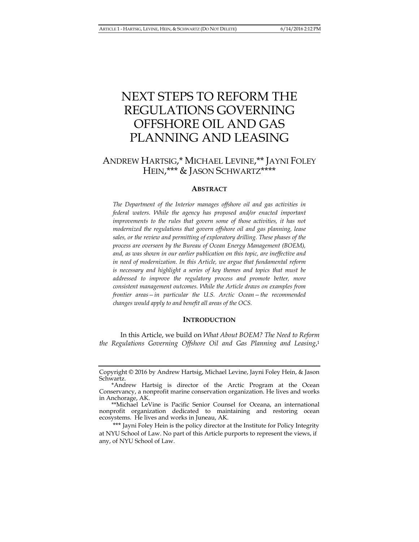# NEXT STEPS TO REFORM THE REGULATIONS GOVERNING OFFSHORE OIL AND GAS PLANNING AND LEASING

## ANDREW HARTSIG,\* MICHAEL LEVINE,\*\* JAYNI FOLEY HEIN,\*\*\* & JASON SCHWARTZ\*\*\*\*

#### **ABSTRACT**

*The Department of the Interior manages offshore oil and gas activities in federal waters. While the agency has proposed and/or enacted important*  improvements to the rules that govern some of those activities, it has not *modernized the regulations that govern offshore oil and gas planning, lease sales, or the review and permitting of exploratory drilling. These phases of the process are overseen by the Bureau of Ocean Energy Management (BOEM), and, as was shown in our earlier publication on this topic, are ineffective and in need of modernization. In this Article, we argue that fundamental reform is necessary and highlight a series of key themes and topics that must be addressed to improve the regulatory process and promote better, more consistent management outcomes. While the Article draws on examples from frontier areas—in particular the U.S. Arctic Ocean—the recommended changes would apply to and benefit all areas of the OCS.* 

## **INTRODUCTION**

 In this Article, we build on *What About BOEM? The Need to Reform the Regulations Governing Offshore Oil and Gas Planning and Leasing*, 1

Copyright © 2016 by Andrew Hartsig, Michael Levine, Jayni Foley Hein, & Jason Schwartz.

 <sup>\*</sup>Andrew Hartsig is director of the Arctic Program at the Ocean Conservancy, a nonprofit marine conservation organization. He lives and works in Anchorage, AK.

 <sup>\*\*</sup>Michael LeVine is Pacific Senior Counsel for Oceana, an international nonprofit organization dedicated to maintaining and restoring ocean ecosystems. He lives and works in Juneau, AK.

<sup>\*\*\*</sup> Jayni Foley Hein is the policy director at the Institute for Policy Integrity at NYU School of Law. No part of this Article purports to represent the views, if any, of NYU School of Law.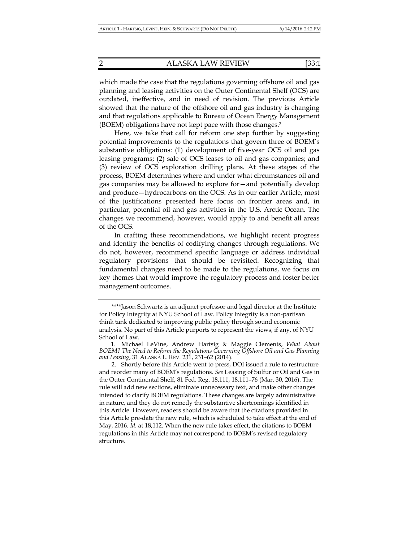planning and leasing activities on the Outer Continental Shelf (OCS) are outdated, ineffective, and in need of revision. The previous Article showed that the nature of the offshore oil and gas industry is changing and that regulations applicable to Bureau of Ocean Energy Management (BOEM) obligations have not kept pace with those changes.2

Here, we take that call for reform one step further by suggesting potential improvements to the regulations that govern three of BOEM's substantive obligations: (1) development of five-year OCS oil and gas leasing programs; (2) sale of OCS leases to oil and gas companies; and (3) review of OCS exploration drilling plans. At these stages of the process, BOEM determines where and under what circumstances oil and gas companies may be allowed to explore for—and potentially develop and produce—hydrocarbons on the OCS. As in our earlier Article, most of the justifications presented here focus on frontier areas and, in particular, potential oil and gas activities in the U.S. Arctic Ocean. The changes we recommend, however, would apply to and benefit all areas of the OCS.

In crafting these recommendations, we highlight recent progress and identify the benefits of codifying changes through regulations. We do not, however, recommend specific language or address individual regulatory provisions that should be revisited. Recognizing that fundamental changes need to be made to the regulations, we focus on key themes that would improve the regulatory process and foster better management outcomes.

 <sup>\*\*\*\*</sup>Jason Schwartz is an adjunct professor and legal director at the Institute for Policy Integrity at NYU School of Law. Policy Integrity is a non-partisan think tank dedicated to improving public policy through sound economic analysis. No part of this Article purports to represent the views, if any, of NYU School of Law.

 <sup>1.</sup> Michael LeVine, Andrew Hartsig & Maggie Clements, *What About BOEM? The Need to Reform the Regulations Governing Offshore Oil and Gas Planning and Leasing*, 31 ALASKA L. REV. 231, 231–62 (2014).

<sup>2.</sup> Shortly before this Article went to press, DOI issued a rule to restructure and reorder many of BOEM's regulations. *See* Leasing of Sulfur or Oil and Gas in the Outer Continental Shelf, 81 Fed. Reg. 18,111, 18,111–76 (Mar. 30, 2016). The rule will add new sections, eliminate unnecessary text, and make other changes intended to clarify BOEM regulations. These changes are largely administrative in nature, and they do not remedy the substantive shortcomings identified in this Article. However, readers should be aware that the citations provided in this Article pre-date the new rule, which is scheduled to take effect at the end of May, 2016. *Id.* at 18,112. When the new rule takes effect, the citations to BOEM regulations in this Article may not correspond to BOEM's revised regulatory structure.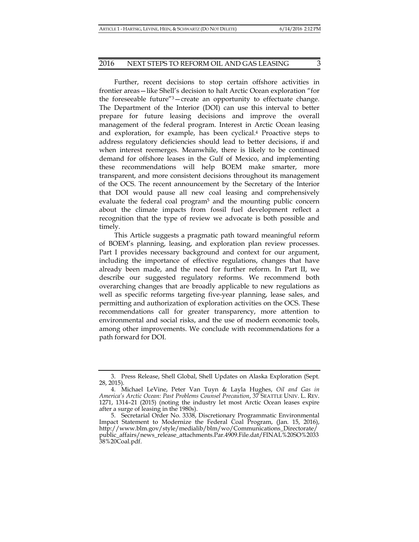Further, recent decisions to stop certain offshore activities in frontier areas—like Shell's decision to halt Arctic Ocean exploration "for the foreseeable future"3—create an opportunity to effectuate change. The Department of the Interior (DOI) can use this interval to better prepare for future leasing decisions and improve the overall management of the federal program. Interest in Arctic Ocean leasing and exploration, for example, has been cyclical.4 Proactive steps to address regulatory deficiencies should lead to better decisions, if and when interest reemerges. Meanwhile, there is likely to be continued demand for offshore leases in the Gulf of Mexico, and implementing these recommendations will help BOEM make smarter, more transparent, and more consistent decisions throughout its management of the OCS. The recent announcement by the Secretary of the Interior that DOI would pause all new coal leasing and comprehensively evaluate the federal coal program<sup>5</sup> and the mounting public concern about the climate impacts from fossil fuel development reflect a recognition that the type of review we advocate is both possible and timely.

This Article suggests a pragmatic path toward meaningful reform of BOEM's planning, leasing, and exploration plan review processes. Part I provides necessary background and context for our argument, including the importance of effective regulations, changes that have already been made, and the need for further reform. In Part II, we describe our suggested regulatory reforms. We recommend both overarching changes that are broadly applicable to new regulations as well as specific reforms targeting five-year planning, lease sales, and permitting and authorization of exploration activities on the OCS. These recommendations call for greater transparency, more attention to environmental and social risks, and the use of modern economic tools, among other improvements. We conclude with recommendations for a path forward for DOI.

 <sup>3.</sup> Press Release, Shell Global, Shell Updates on Alaska Exploration (Sept. 28, 2015).

 <sup>4.</sup> Michael LeVine, Peter Van Tuyn & Layla Hughes, *Oil and Gas in America's Arctic Ocean: Past Problems Counsel Precaution*, 37 SEATTLE UNIV. L. REV. 1271, 1314–21 (2015) (noting the industry let most Arctic Ocean leases expire after a surge of leasing in the 1980s).

 <sup>5.</sup> Secretarial Order No. 3338, Discretionary Programmatic Environmental Impact Statement to Modernize the Federal Coal Program, (Jan. 15, 2016), http://www.blm.gov/style/medialib/blm/wo/Communications\_Directorate/ public\_affairs/news\_release\_attachments.Par.4909.File.dat/FINAL%20SO%2033 38%20Coal.pdf.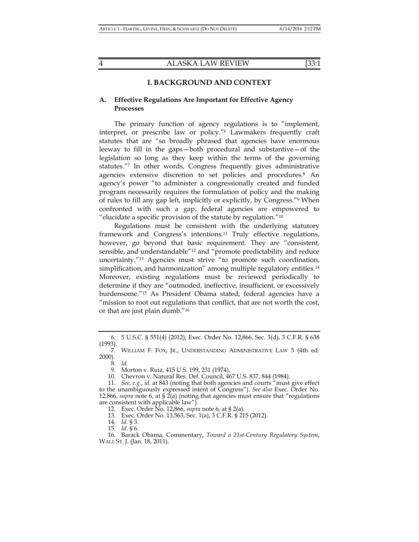## **I. BACKGROUND AND CONTEXT**

## **A. Effective Regulations Are Important for Effective Agency Processes**

The primary function of agency regulations is to "implement, interpret, or prescribe law or policy."6 Lawmakers frequently craft statutes that are "so broadly phrased that agencies have enormous leeway to fill in the gaps—both procedural and substantive—of the legislation so long as they keep within the terms of the governing statutes."7 In other words, Congress frequently gives administrative agencies extensive discretion to set policies and procedures.8 An agency's power "to administer a congressionally created and funded program necessarily requires the formulation of policy and the making of rules to fill any gap left, implicitly or explicitly, by Congress."9 When confronted with such a gap, federal agencies are empowered to "elucidate a specific provision of the statute by regulation."10

Regulations must be consistent with the underlying statutory framework and Congress's intentions.11 Truly effective regulations, however, go beyond that basic requirement. They are "consistent, sensible, and understandable"12 and "promote predictability and reduce uncertainty."13 Agencies must strive "to promote such coordination, simplification, and harmonization" among multiple regulatory entities.<sup>14</sup> Moreover, existing regulations must be reviewed periodically to determine if they are "outmoded, ineffective, insufficient, or excessively burdensome."15 As President Obama stated, federal agencies have a "mission to root out regulations that conflict, that are not worth the cost, or that are just plain dumb."16

10. Chevron v. Natural Res. Def. Council, 467 U.S. 837, 844 (1984).

12. Exec. Order No. 12,866, *supra* note 6, at § 2(a).

13. Exec. Order No. 13,563, Sec. 1(a), 3 C.F.R. § 215 (2012).

14. *Id.* § 3.

15. *Id.* § 6.

 <sup>6. 5</sup> U.S.C. § 551(4) (2012); Exec. Order No. 12,866, Sec. 3(d), 3 C.F.R. § 638 (1993).

 <sup>7.</sup> WILLIAM F. FOX, JR., UNDERSTANDING ADMINISTRATIVE LAW 5 (4th ed. 2000).

 <sup>8.</sup> *Id.* 

 <sup>9.</sup> Morton v. Ruiz, 415 U.S. 199, 231 (1974).

 <sup>11.</sup> *See, e.g.*, *id.* at 843 (noting that both agencies and courts "must give effect to the unambiguously expressed intent of Congress"). *See also* Exec. Order No. 12,866, *supra* note 6, at §  $2(a)$  (noting that agencies must ensure that "regulations" are consistent with applicable law").

 <sup>16.</sup> Barack Obama, Commentary, *Toward a 21st-Century Regulatory System*, WALL ST. J. (Jan. 18, 2011).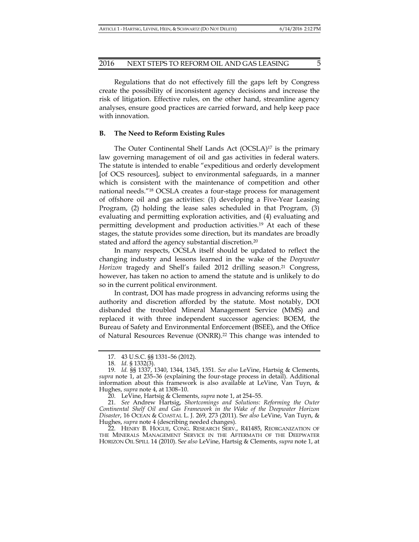Regulations that do not effectively fill the gaps left by Congress create the possibility of inconsistent agency decisions and increase the risk of litigation. Effective rules, on the other hand, streamline agency analyses, ensure good practices are carried forward, and help keep pace with innovation.

#### **B. The Need to Reform Existing Rules**

The Outer Continental Shelf Lands Act (OCSLA)<sup>17</sup> is the primary law governing management of oil and gas activities in federal waters. The statute is intended to enable "expeditious and orderly development [of OCS resources], subject to environmental safeguards, in a manner which is consistent with the maintenance of competition and other national needs."18 OCSLA creates a four-stage process for management of offshore oil and gas activities: (1) developing a Five-Year Leasing Program, (2) holding the lease sales scheduled in that Program, (3) evaluating and permitting exploration activities, and (4) evaluating and permitting development and production activities.19 At each of these stages, the statute provides some direction, but its mandates are broadly stated and afford the agency substantial discretion.20

In many respects, OCSLA itself should be updated to reflect the changing industry and lessons learned in the wake of the *Deepwater Horizon* tragedy and Shell's failed 2012 drilling season.<sup>21</sup> Congress, however, has taken no action to amend the statute and is unlikely to do so in the current political environment.

In contrast, DOI has made progress in advancing reforms using the authority and discretion afforded by the statute. Most notably, DOI disbanded the troubled Mineral Management Service (MMS) and replaced it with three independent successor agencies: BOEM, the Bureau of Safety and Environmental Enforcement (BSEE), and the Office of Natural Resources Revenue (ONRR).22 This change was intended to

 21. *See* Andrew Hartsig, *Shortcomings and Solutions: Reforming the Outer Continental Shelf Oil and Gas Framework in the Wake of the Deepwater Horizon Disaster*, 16 OCEAN & COASTAL L. J. 269, 273 (2011). S*ee also* LeVine, Van Tuyn, & Hughes, *supra* note 4 (describing needed changes).

 22. HENRY B. HOGUE, CONG. RESEARCH SERV., R41485, REORGANIZATION OF THE MINERALS MANAGEMENT SERVICE IN THE AFTERMATH OF THE DEEPWATER HORIZON OIL SPILL 14 (2010). S*ee also* LeVine, Hartsig & Clements, *supra* note 1, at

 <sup>17. 43</sup> U.S.C. §§ 1331–56 (2012).

 <sup>18.</sup> *Id.* § 1332(3).

 <sup>19.</sup> *Id.* §§ 1337, 1340, 1344, 1345, 1351. *See also* LeVine, Hartsig & Clements, *supra* note 1, at 235–36 (explaining the four-stage process in detail). Additional information about this framework is also available at LeVine, Van Tuyn, & Hughes, *supra* note 4, at 1308–10.

 <sup>20.</sup> LeVine, Hartsig & Clements, *supra* note 1, at 254–55.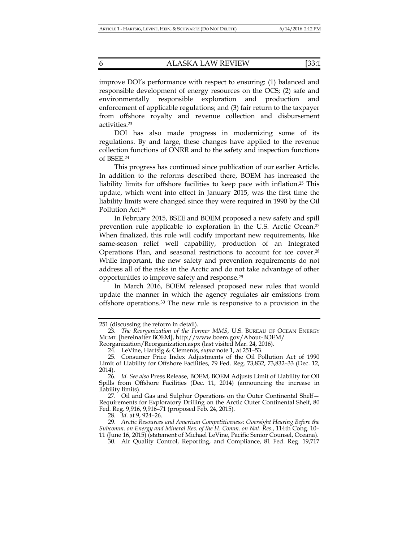improve DOI's performance with respect to ensuring: (1) balanced and responsible development of energy resources on the OCS; (2) safe and environmentally responsible exploration and production and enforcement of applicable regulations; and (3) fair return to the taxpayer from offshore royalty and revenue collection and disbursement activities.23

DOI has also made progress in modernizing some of its regulations. By and large, these changes have applied to the revenue collection functions of ONRR and to the safety and inspection functions of BSEE.24

This progress has continued since publication of our earlier Article. In addition to the reforms described there, BOEM has increased the liability limits for offshore facilities to keep pace with inflation.25 This update, which went into effect in January 2015, was the first time the liability limits were changed since they were required in 1990 by the Oil Pollution Act.26

In February 2015, BSEE and BOEM proposed a new safety and spill prevention rule applicable to exploration in the U.S. Arctic Ocean.<sup>27</sup> When finalized, this rule will codify important new requirements, like same-season relief well capability, production of an Integrated Operations Plan, and seasonal restrictions to account for ice cover.28 While important, the new safety and prevention requirements do not address all of the risks in the Arctic and do not take advantage of other opportunities to improve safety and response.29

In March 2016, BOEM released proposed new rules that would update the manner in which the agency regulates air emissions from offshore operations.30 The new rule is responsive to a provision in the

Reorganization/Reorganization.aspx (last visited Mar. 24, 2016).

27. Oil and Gas and Sulphur Operations on the Outer Continental Shelf-Requirements for Exploratory Drilling on the Arctic Outer Continental Shelf, 80 Fed. Reg. 9,916, 9,916–71 (proposed Feb. 24, 2015).

28. *Id.* at 9, 924–26.

30. Air Quality Control, Reporting, and Compliance, 81 Fed. Reg. 19,717

<sup>251 (</sup>discussing the reform in detail).

 <sup>23.</sup> *The Reorganization of the Former MMS*, U.S. BUREAU OF OCEAN ENERGY MGMT. [hereinafter BOEM], http://www.boem.gov/About-BOEM/

 <sup>24.</sup> LeVine, Hartsig & Clements, *supra* note 1, at 251–53.

 <sup>25.</sup> Consumer Price Index Adjustments of the Oil Pollution Act of 1990 Limit of Liability for Offshore Facilities, 79 Fed. Reg. 73,832, 73,832–33 (Dec. 12, 2014).

 <sup>26.</sup> *Id. See also* Press Release, BOEM, BOEM Adjusts Limit of Liability for Oil Spills from Offshore Facilities (Dec. 11, 2014) (announcing the increase in liability limits).

 <sup>29.</sup> *Arctic Resources and American Competitiveness: Oversight Hearing Before the Subcomm. on Energy and Mineral Res. of the H. Comm. on Nat. Res.*, 114th Cong. 10– 11 (June 16, 2015) (statement of Michael LeVine, Pacific Senior Counsel, Oceana).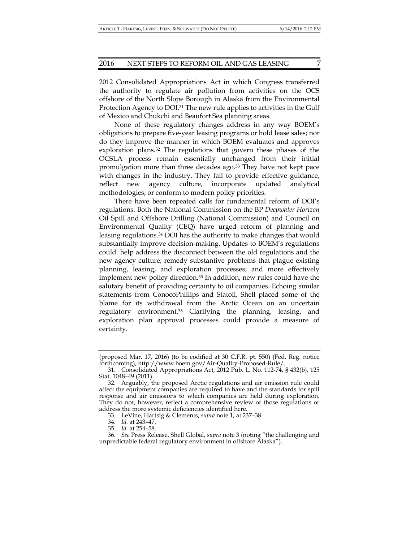2012 Consolidated Appropriations Act in which Congress transferred the authority to regulate air pollution from activities on the OCS offshore of the North Slope Borough in Alaska from the Environmental Protection Agency to DOI.<sup>31</sup> The new rule applies to activities in the Gulf of Mexico and Chukchi and Beaufort Sea planning areas.

None of these regulatory changes address in any way BOEM's obligations to prepare five-year leasing programs or hold lease sales; nor do they improve the manner in which BOEM evaluates and approves exploration plans.<sup>32</sup> The regulations that govern these phases of the OCSLA process remain essentially unchanged from their initial promulgation more than three decades ago.33 They have not kept pace with changes in the industry. They fail to provide effective guidance, reflect new agency culture, incorporate updated analytical methodologies, or conform to modern policy priorities.

There have been repeated calls for fundamental reform of DOI's regulations. Both the National Commission on the BP *Deepwater Horizon* Oil Spill and Offshore Drilling (National Commission) and Council on Environmental Quality (CEQ) have urged reform of planning and leasing regulations.34 DOI has the authority to make changes that would substantially improve decision-making. Updates to BOEM's regulations could: help address the disconnect between the old regulations and the new agency culture; remedy substantive problems that plague existing planning, leasing, and exploration processes; and more effectively implement new policy direction.35 In addition, new rules could have the salutary benefit of providing certainty to oil companies. Echoing similar statements from ConocoPhillips and Statoil, Shell placed some of the blame for its withdrawal from the Arctic Ocean on an uncertain regulatory environment.36 Clarifying the planning, leasing, and exploration plan approval processes could provide a measure of certainty.

33. LeVine, Hartsig & Clements, *supra* note 1, at 237–38.

34. *Id.* at 243–47.

35. *Id.* at 254–58.

<sup>(</sup>proposed Mar. 17, 2016) (to be codified at 30 C.F.R. pt. 550) (Fed. Reg. notice forthcoming), http://www.boem.gov/Air-Quality-Proposed-Rule/.

 <sup>31.</sup> Consolidated Appropriations Act, 2012 Pub. L. No. 112-74, § 432(b), 125 Stat. 1048–49 (2011).

 <sup>32.</sup> Arguably, the proposed Arctic regulations and air emission rule could affect the equipment companies are required to have and the standards for spill response and air emissions to which companies are held during exploration. They do not, however, reflect a comprehensive review of those regulations or address the more systemic deficiencies identified here.

 <sup>36.</sup> *See* Press Release, Shell Global, *supra* note 3 (noting "the challenging and unpredictable federal regulatory environment in offshore Alaska").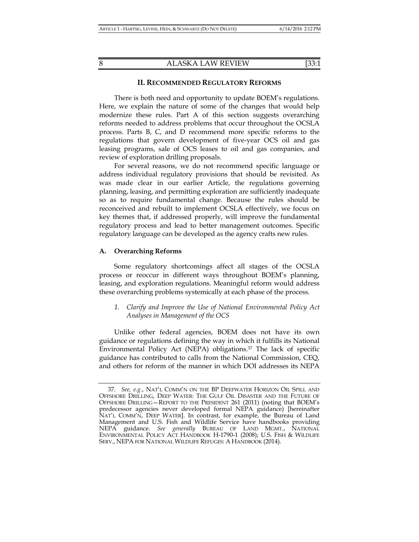## **II. RECOMMENDED REGULATORY REFORMS**

There is both need and opportunity to update BOEM's regulations. Here, we explain the nature of some of the changes that would help modernize these rules. Part A of this section suggests overarching reforms needed to address problems that occur throughout the OCSLA process. Parts B, C, and D recommend more specific reforms to the regulations that govern development of five-year OCS oil and gas leasing programs, sale of OCS leases to oil and gas companies, and review of exploration drilling proposals.

For several reasons, we do not recommend specific language or address individual regulatory provisions that should be revisited. As was made clear in our earlier Article, the regulations governing planning, leasing, and permitting exploration are sufficiently inadequate so as to require fundamental change. Because the rules should be reconceived and rebuilt to implement OCSLA effectively, we focus on key themes that, if addressed properly, will improve the fundamental regulatory process and lead to better management outcomes. Specific regulatory language can be developed as the agency crafts new rules.

## **A. Overarching Reforms**

Some regulatory shortcomings affect all stages of the OCSLA process or reoccur in different ways throughout BOEM's planning, leasing, and exploration regulations. Meaningful reform would address these overarching problems systemically at each phase of the process.

*1. Clarify and Improve the Use of National Environmental Policy Act Analyses in Management of the OCS* 

Unlike other federal agencies, BOEM does not have its own guidance or regulations defining the way in which it fulfills its National Environmental Policy Act (NEPA) obligations.37 The lack of specific guidance has contributed to calls from the National Commission, CEQ, and others for reform of the manner in which DOI addresses its NEPA

 <sup>37.</sup> *See, e.g.*, NAT'L COMM'N ON THE BP DEEPWATER HORIZON OIL SPILL AND OFFSHORE DRILLING, DEEP WATER: THE GULF OIL DISASTER AND THE FUTURE OF OFFSHORE DRILLING—REPORT TO THE PRESIDENT 261 (2011) (noting that BOEM's predecessor agencies never developed formal NEPA guidance) [hereinafter NAT'L COMM'N, DEEP WATER]. In contrast, for example, the Bureau of Land Management and U.S. Fish and Wildlife Service have handbooks providing NEPA guidance. *See generally* BUREAU OF LAND MGMT., NATIONAL ENVIRONMENTAL POLICY ACT HANDBOOK H-1790-1 (2008); U.S. FISH & WILDLIFE SERV., NEPA FOR NATIONAL WILDLIFE REFUGES: A HANDBOOK (2014).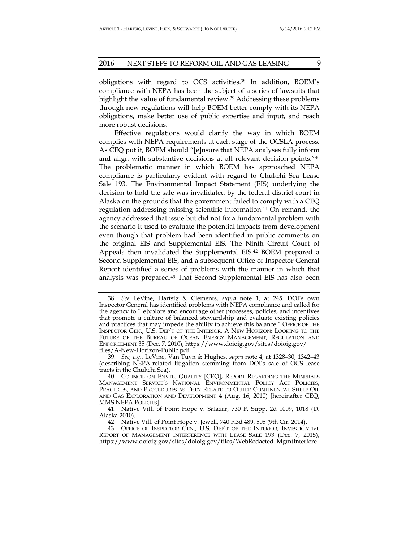obligations with regard to OCS activities.38 In addition, BOEM's compliance with NEPA has been the subject of a series of lawsuits that highlight the value of fundamental review.<sup>39</sup> Addressing these problems through new regulations will help BOEM better comply with its NEPA obligations, make better use of public expertise and input, and reach more robust decisions.

Effective regulations would clarify the way in which BOEM complies with NEPA requirements at each stage of the OCSLA process. As CEQ put it, BOEM should "[e]nsure that NEPA analyses fully inform and align with substantive decisions at all relevant decision points."40 The problematic manner in which BOEM has approached NEPA compliance is particularly evident with regard to Chukchi Sea Lease Sale 193. The Environmental Impact Statement (EIS) underlying the decision to hold the sale was invalidated by the federal district court in Alaska on the grounds that the government failed to comply with a CEQ regulation addressing missing scientific information.41 On remand, the agency addressed that issue but did not fix a fundamental problem with the scenario it used to evaluate the potential impacts from development even though that problem had been identified in public comments on the original EIS and Supplemental EIS. The Ninth Circuit Court of Appeals then invalidated the Supplemental EIS.<sup>42</sup> BOEM prepared a Second Supplemental EIS, and a subsequent Office of Inspector General Report identified a series of problems with the manner in which that analysis was prepared.43 That Second Supplemental EIS has also been

 <sup>38.</sup> *See* LeVine, Hartsig & Clements, *supra* note 1, at 245. DOI's own Inspector General has identified problems with NEPA compliance and called for the agency to "[e]xplore and encourage other processes, policies, and incentives that promote a culture of balanced stewardship and evaluate existing policies and practices that may impede the ability to achieve this balance." OFFICE OF THE INSPECTOR GEN., U.S. DEP'T OF THE INTERIOR, A NEW HORIZON: LOOKING TO THE FUTURE OF THE BUREAU OF OCEAN ENERGY MANAGEMENT, REGULATION AND ENFORCEMENT 35 (Dec. 7, 2010), https://www.doioig.gov/sites/doioig.gov/ files/A-New-Horizon-Public.pdf.

 <sup>39.</sup> *See, e.g.*, LeVine, Van Tuyn & Hughes, *supra* note 4, at 1328–30, 1342–43 (describing NEPA-related litigation stemming from DOI's sale of OCS lease tracts in the Chukchi Sea).

 <sup>40.</sup> COUNCIL ON ENVTL. QUALITY [CEQ], REPORT REGARDING THE MINERALS MANAGEMENT SERVICE'S NATIONAL ENVIRONMENTAL POLICY ACT POLICIES, PRACTICES, AND PROCEDURES AS THEY RELATE TO OUTER CONTINENTAL SHELF OIL AND GAS EXPLORATION AND DEVELOPMENT 4 (Aug. 16, 2010) [hereinafter CEQ, MMS NEPA POLICIES].

 <sup>41.</sup> Native Vill. of Point Hope v. Salazar, 730 F. Supp. 2d 1009, 1018 (D. Alaska 2010).

 <sup>42.</sup> Native Vill. of Point Hope v. Jewell, 740 F.3d 489, 505 (9th Cir. 2014).

 <sup>43.</sup> OFFICE OF INSPECTOR GEN., U.S. DEP'T OF THE INTERIOR, INVESTIGATIVE REPORT OF MANAGEMENT INTERFERENCE WITH LEASE SALE 193 (Dec. 7, 2015), https://www.doioig.gov/sites/doioig.gov/files/WebRedacted\_MgmtInterfere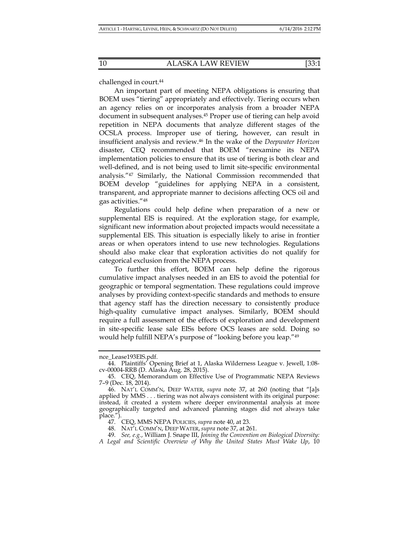challenged in court.<sup>44</sup>

An important part of meeting NEPA obligations is ensuring that BOEM uses "tiering" appropriately and effectively. Tiering occurs when an agency relies on or incorporates analysis from a broader NEPA document in subsequent analyses.45 Proper use of tiering can help avoid repetition in NEPA documents that analyze different stages of the OCSLA process. Improper use of tiering, however, can result in insufficient analysis and review.46 In the wake of the *Deepwater Horizon* disaster, CEQ recommended that BOEM "reexamine its NEPA implementation policies to ensure that its use of tiering is both clear and well-defined, and is not being used to limit site-specific environmental analysis."47 Similarly, the National Commission recommended that BOEM develop "guidelines for applying NEPA in a consistent, transparent, and appropriate manner to decisions affecting OCS oil and gas activities."48

Regulations could help define when preparation of a new or supplemental EIS is required. At the exploration stage, for example, significant new information about projected impacts would necessitate a supplemental EIS. This situation is especially likely to arise in frontier areas or when operators intend to use new technologies. Regulations should also make clear that exploration activities do not qualify for categorical exclusion from the NEPA process.

To further this effort, BOEM can help define the rigorous cumulative impact analyses needed in an EIS to avoid the potential for geographic or temporal segmentation. These regulations could improve analyses by providing context-specific standards and methods to ensure that agency staff has the direction necessary to consistently produce high-quality cumulative impact analyses. Similarly, BOEM should require a full assessment of the effects of exploration and development in site-specific lease sale EISs before OCS leases are sold. Doing so would help fulfill NEPA's purpose of "looking before you leap."49

nce\_Lease193EIS.pdf.

 <sup>44.</sup> Plaintiffs' Opening Brief at 1, Alaska Wilderness League v. Jewell, 1:08 cv-00004-RRB (D. Alaska Aug. 28, 2015).

 <sup>45.</sup> CEQ, Memorandum on Effective Use of Programmatic NEPA Reviews 7–9 (Dec. 18, 2014).

 <sup>46.</sup> NAT'L COMM'N, DEEP WATER, *supra* note 37, at 260 (noting that "[a]s applied by MMS . . . tiering was not always consistent with its original purpose: instead, it created a system where deeper environmental analysis at more geographically targeted and advanced planning stages did not always take place.").

 <sup>47.</sup> CEQ, MMS NEPA POLICIES, *supra* note 40, at 23.

 <sup>48.</sup> NAT'L COMM'N, DEEP WATER, *supra* note 37, at 261.

 <sup>49.</sup> *See, e.g.*, William J. Snape III, *Joining the Convention on Biological Diversity: A Legal and Scientific Overview of Why the United States Must Wake Up*, 10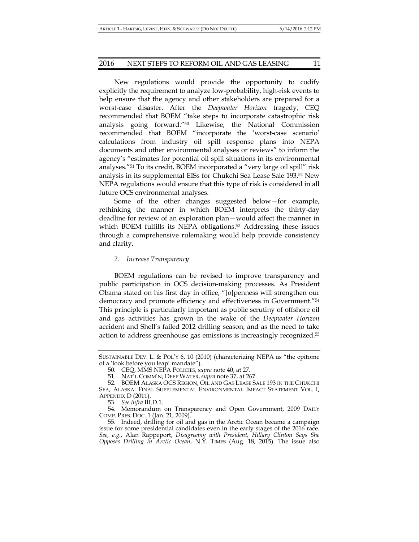New regulations would provide the opportunity to codify explicitly the requirement to analyze low-probability, high-risk events to help ensure that the agency and other stakeholders are prepared for a worst-case disaster. After the *Deepwater Horizon* tragedy, CEQ recommended that BOEM "take steps to incorporate catastrophic risk analysis going forward."50 Likewise, the National Commission recommended that BOEM "incorporate the 'worst-case scenario' calculations from industry oil spill response plans into NEPA documents and other environmental analyses or reviews" to inform the agency's "estimates for potential oil spill situations in its environmental analyses."51 To its credit, BOEM incorporated a "very large oil spill" risk analysis in its supplemental EISs for Chukchi Sea Lease Sale 193.52 New NEPA regulations would ensure that this type of risk is considered in all future OCS environmental analyses.

Some of the other changes suggested below—for example, rethinking the manner in which BOEM interprets the thirty-day deadline for review of an exploration plan—would affect the manner in which BOEM fulfills its NEPA obligations.<sup>53</sup> Addressing these issues through a comprehensive rulemaking would help provide consistency and clarity.

## *2. Increase Transparency*

BOEM regulations can be revised to improve transparency and public participation in OCS decision-making processes. As President Obama stated on his first day in office, "[o]penness will strengthen our democracy and promote efficiency and effectiveness in Government."54 This principle is particularly important as public scrutiny of offshore oil and gas activities has grown in the wake of the *Deepwater Horizon* accident and Shell's failed 2012 drilling season, and as the need to take action to address greenhouse gas emissions is increasingly recognized.55

SUSTAINABLE DEV. L. & POL'Y 6, 10 (2010) (characterizing NEPA as "the epitome of a 'look before you leap' mandate").

 <sup>50.</sup> CEQ, MMS NEPA POLICIES, *supra* note 40, at 27.

 <sup>51.</sup> NAT'L COMM'N, DEEP WATER, *supra* note 37, at 267.

 <sup>52.</sup> BOEM ALASKA OCS REGION, OIL AND GAS LEASE SALE 193 IN THE CHUKCHI SEA, ALASKA: FINAL SUPPLEMENTAL ENVIRONMENTAL IMPACT STATEMENT VOL. I, APPENDIX D (2011).

 <sup>53.</sup> *See infra* III.D.1.

 <sup>54.</sup> Memorandum on Transparency and Open Government, 2009 DAILY COMP. PRES. DOC. 1 (Jan. 21, 2009).

 <sup>55.</sup> Indeed, drilling for oil and gas in the Arctic Ocean became a campaign issue for some presidential candidates even in the early stages of the 2016 race. *See, e.g.*, Alan Rappeport, *Disagreeing with President, Hillary Clinton Says She Opposes Drilling in Arctic Ocean*, N.Y. TIMES (Aug. 18, 2015). The issue also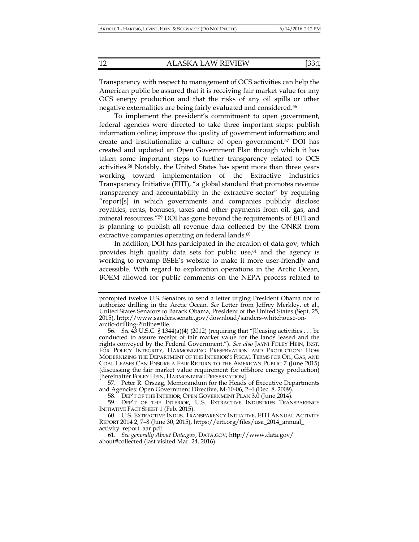Transparency with respect to management of OCS activities can help the American public be assured that it is receiving fair market value for any OCS energy production and that the risks of any oil spills or other negative externalities are being fairly evaluated and considered.56

To implement the president's commitment to open government, federal agencies were directed to take three important steps: publish information online; improve the quality of government information; and create and institutionalize a culture of open government.57 DOI has created and updated an Open Government Plan through which it has taken some important steps to further transparency related to OCS activities.58 Notably, the United States has spent more than three years working toward implementation of the Extractive Industries Transparency Initiative (EITI), "a global standard that promotes revenue transparency and accountability in the extractive sector" by requiring "report[s] in which governments and companies publicly disclose royalties, rents, bonuses, taxes and other payments from oil, gas, and mineral resources."59 DOI has gone beyond the requirements of EITI and is planning to publish all revenue data collected by the ONRR from extractive companies operating on federal lands.<sup>60</sup>

In addition, DOI has participated in the creation of data.gov, which provides high quality data sets for public use, $61$  and the agency is working to revamp BSEE's website to make it more user-friendly and accessible. With regard to exploration operations in the Arctic Ocean, BOEM allowed for public comments on the NEPA process related to

 57. Peter R. Orszag, Memorandum for the Heads of Executive Departments and Agencies: Open Government Directive, M-10-06, 2–4 (Dec. 8, 2009).

58. DEP'T OF THE INTERIOR, OPEN GOVERNMENT PLAN 3.0 (June 2014).

 59. DEP'T OF THE INTERIOR, U.S. EXTRACTIVE INDUSTRIES TRANSPARENCY INITIATIVE FACT SHEET 1 (Feb. 2015).

 60. U.S. EXTRACTIVE INDUS. TRANSPARENCY INITIATIVE, EITI ANNUAL ACTIVITY REPORT 2014 2, 7–8 (June 30, 2015), https://eiti.org/files/usa\_2014\_annual\_ activity\_report\_aar.pdf.

prompted twelve U.S. Senators to send a letter urging President Obama not to authorize drilling in the Arctic Ocean. *See* Letter from Jeffrey Merkley, et al., United States Senators to Barack Obama, President of the United States (Sept. 25, 2015), http://www.sanders.senate.gov/download/sanders-whitehouse-onarctic-drilling-?inline=file.

 <sup>56.</sup> *See* 43 U.S.C. § 1344(a)(4) (2012) (requiring that "[l]easing activities . . . be conducted to assure receipt of fair market value for the lands leased and the rights conveyed by the Federal Government."). *See also* JAYNI FOLEY HEIN, INST. FOR POLICY INTEGRITY, HARMONIZING PRESERVATION AND PRODUCTION: HOW MODERNIZING THE DEPARTMENT OF THE INTERIOR'S FISCAL TERMS FOR OIL, GAS, AND COAL LEASES CAN ENSURE A FAIR RETURN TO THE AMERICAN PUBLIC 7 (June 2015) (discussing the fair market value requirement for offshore energy production) [hereinafter FOLEY HEIN, HARMONIZING PRESERVATION].

 <sup>61.</sup> *See generally About Data.gov*, DATA.GOV, http://www.data.gov/ about#collected (last visited Mar. 24, 2016).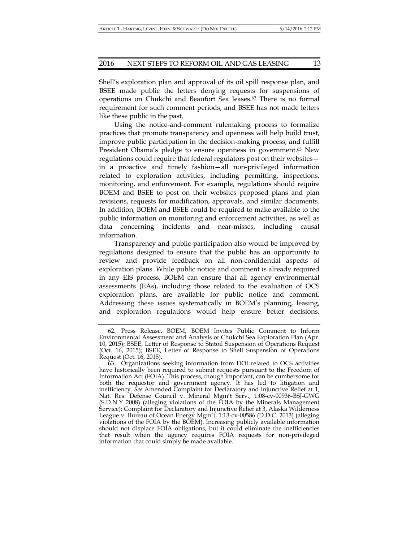Shell's exploration plan and approval of its oil spill response plan, and BSEE made public the letters denying requests for suspensions of operations on Chukchi and Beaufort Sea leases.62 There is no formal requirement for such comment periods, and BSEE has not made letters like these public in the past.

Using the notice-and-comment rulemaking process to formalize practices that promote transparency and openness will help build trust, improve public participation in the decision-making process, and fulfill President Obama's pledge to ensure openness in government.<sup>63</sup> New regulations could require that federal regulators post on their websites in a proactive and timely fashion—all non-privileged information related to exploration activities, including permitting, inspections, monitoring, and enforcement. For example, regulations should require BOEM and BSEE to post on their websites proposed plans and plan revisions, requests for modification, approvals, and similar documents. In addition, BOEM and BSEE could be required to make available to the public information on monitoring and enforcement activities, as well as data concerning incidents and near-misses, including causal information.

Transparency and public participation also would be improved by regulations designed to ensure that the public has an opportunity to review and provide feedback on all non-confidential aspects of exploration plans. While public notice and comment is already required in any EIS process, BOEM can ensure that all agency environmental assessments (EAs), including those related to the evaluation of OCS exploration plans, are available for public notice and comment. Addressing these issues systematically in BOEM's planning, leasing, and exploration regulations would help ensure better decisions,

 <sup>62.</sup> Press Release, BOEM, BOEM Invites Public Comment to Inform Environmental Assessment and Analysis of Chukchi Sea Exploration Plan (Apr. 10, 2015); BSEE, Letter of Response to Statoil Suspension of Operations Request (Oct. 16, 2015); BSEE, Letter of Response to Shell Suspension of Operations Request (Oct. 16, 2015).

 <sup>63.</sup> Organizations seeking information from DOI related to OCS activities have historically been required to submit requests pursuant to the Freedom of Information Act (FOIA). This process, though important, can be cumbersome for both the requestor and government agency. It has led to litigation and inefficiency. *See* Amended Complaint for Declaratory and Injunctive Relief at 1, Nat. Res. Defense Council v. Mineral Mgm't Serv., 1:08-cv-00936-BSJ-GWG (S.D.N.Y 2008) (alleging violations of the FOIA by the Minerals Management Service); Complaint for Declaratory and Injunctive Relief at 3, Alaska Wilderness League v. Bureau of Ocean Energy Mgm't, 1:13-cv-00586 (D.D.C. 2013) (alleging violations of the FOIA by the BOEM). Increasing publicly available information should not displace FOIA obligations, but it could eliminate the inefficiencies that result when the agency requires FOIA requests for non-privileged information that could simply be made available.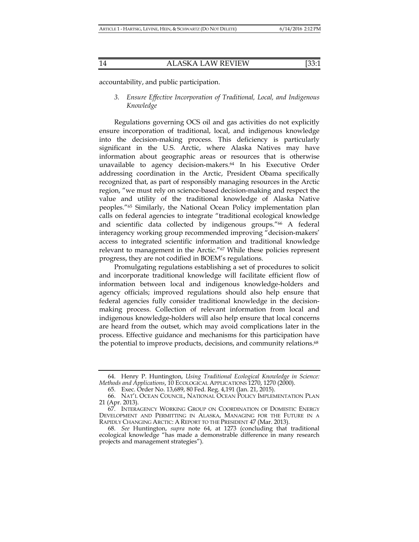accountability, and public participation.

*3. Ensure Effective Incorporation of Traditional, Local, and Indigenous Knowledge* 

Regulations governing OCS oil and gas activities do not explicitly ensure incorporation of traditional, local, and indigenous knowledge into the decision-making process. This deficiency is particularly significant in the U.S. Arctic, where Alaska Natives may have information about geographic areas or resources that is otherwise unavailable to agency decision-makers.64 In his Executive Order addressing coordination in the Arctic, President Obama specifically recognized that, as part of responsibly managing resources in the Arctic region, "we must rely on science-based decision-making and respect the value and utility of the traditional knowledge of Alaska Native peoples."65 Similarly, the National Ocean Policy implementation plan calls on federal agencies to integrate "traditional ecological knowledge and scientific data collected by indigenous groups."<sup>66</sup> A federal interagency working group recommended improving "decision-makers' access to integrated scientific information and traditional knowledge relevant to management in the Arctic."67 While these policies represent progress, they are not codified in BOEM's regulations.

Promulgating regulations establishing a set of procedures to solicit and incorporate traditional knowledge will facilitate efficient flow of information between local and indigenous knowledge-holders and agency officials; improved regulations should also help ensure that federal agencies fully consider traditional knowledge in the decisionmaking process. Collection of relevant information from local and indigenous knowledge-holders will also help ensure that local concerns are heard from the outset, which may avoid complications later in the process. Effective guidance and mechanisms for this participation have the potential to improve products, decisions, and community relations.<sup>68</sup>

 <sup>64.</sup> Henry P. Huntington, *Using Traditional Ecological Knowledge in Science: Methods and Applications*, 10 ECOLOGICAL APPLICATIONS 1270, 1270 (2000).

 <sup>65.</sup> Exec. Order No. 13,689, 80 Fed. Reg. 4,191 (Jan. 21, 2015).

 <sup>66.</sup> NAT'L OCEAN COUNCIL, NATIONAL OCEAN POLICY IMPLEMENTATION PLAN 21 (Apr. 2013).

 <sup>67.</sup> INTERAGENCY WORKING GROUP ON COORDINATION OF DOMESTIC ENERGY DEVELOPMENT AND PERMITTING IN ALASKA, MANAGING FOR THE FUTURE IN A RAPIDLY CHANGING ARCTIC: A REPORT TO THE PRESIDENT 47 (Mar. 2013).

 <sup>68.</sup> *See* Huntington, *supra* note 64, at 1273 (concluding that traditional ecological knowledge "has made a demonstrable difference in many research projects and management strategies").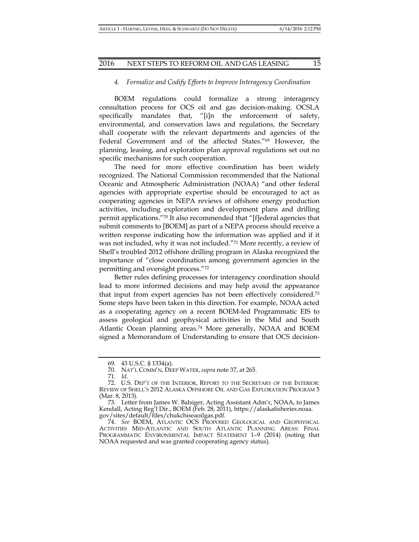## *4. Formalize and Codify Efforts to Improve Interagency Coordination*

BOEM regulations could formalize a strong interagency consultation process for OCS oil and gas decision-making. OCSLA specifically mandates that, "[i]n the enforcement of safety, environmental, and conservation laws and regulations, the Secretary shall cooperate with the relevant departments and agencies of the Federal Government and of the affected States."<sup>69</sup> However, the planning, leasing, and exploration plan approval regulations set out no specific mechanisms for such cooperation.

The need for more effective coordination has been widely recognized. The National Commission recommended that the National Oceanic and Atmospheric Administration (NOAA) "and other federal agencies with appropriate expertise should be encouraged to act as cooperating agencies in NEPA reviews of offshore energy production activities, including exploration and development plans and drilling permit applications."70 It also recommended that "[f]ederal agencies that submit comments to [BOEM] as part of a NEPA process should receive a written response indicating how the information was applied and if it was not included, why it was not included."71 More recently, a review of Shell's troubled 2012 offshore drilling program in Alaska recognized the importance of "close coordination among government agencies in the permitting and oversight process."72

Better rules defining processes for interagency coordination should lead to more informed decisions and may help avoid the appearance that input from expert agencies has not been effectively considered.73 Some steps have been taken in this direction. For example, NOAA acted as a cooperating agency on a recent BOEM-led Programmatic EIS to assess geological and geophysical activities in the Mid and South Atlantic Ocean planning areas.74 More generally, NOAA and BOEM signed a Memorandum of Understanding to ensure that OCS decision-

 <sup>69. 43</sup> U.S.C. § 1334(a).

 <sup>70.</sup> NAT'L COMM'N, DEEP WATER, *supra* note 37, at 265.

 <sup>71.</sup> *Id*.

 <sup>72.</sup> U.S. DEP'T OF THE INTERIOR, REPORT TO THE SECRETARY OF THE INTERIOR: REVIEW OF SHELL'S 2012 ALASKA OFFSHORE OIL AND GAS EXPLORATION PROGRAM 5 (Mar. 8, 2013).

 <sup>73.</sup> Letter from James W. Balsiger, Acting Assistant Adm'r, NOAA, to James Kendall, Acting Reg'l Dir., BOEM (Feb. 28, 2011), https://alaskafisheries.noaa. gov/sites/default/files/chukchiseaoilgas.pdf.

 <sup>74.</sup> *See* BOEM, ATLANTIC OCS PROPOSED GEOLOGICAL AND GEOPHYSICAL ACTIVITIES MID-ATLANTIC AND SOUTH ATLANTIC PLANNING AREAS: FINAL PROGRAMMATIC ENVIRONMENTAL IMPACT STATEMENT 1–9 (2014) (noting that NOAA requested and was granted cooperating agency status).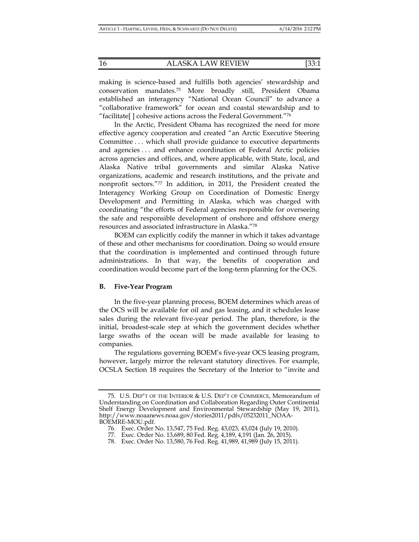making is science-based and fulfills both agencies' stewardship and conservation mandates.75 More broadly still, President Obama established an interagency "National Ocean Council" to advance a "collaborative framework" for ocean and coastal stewardship and to "facilitate[ ] cohesive actions across the Federal Government."76

In the Arctic, President Obama has recognized the need for more effective agency cooperation and created "an Arctic Executive Steering Committee . . . which shall provide guidance to executive departments and agencies . . . and enhance coordination of Federal Arctic policies across agencies and offices, and, where applicable, with State, local, and Alaska Native tribal governments and similar Alaska Native organizations, academic and research institutions, and the private and nonprofit sectors."77 In addition, in 2011, the President created the Interagency Working Group on Coordination of Domestic Energy Development and Permitting in Alaska, which was charged with coordinating "the efforts of Federal agencies responsible for overseeing the safe and responsible development of onshore and offshore energy resources and associated infrastructure in Alaska."78

BOEM can explicitly codify the manner in which it takes advantage of these and other mechanisms for coordination. Doing so would ensure that the coordination is implemented and continued through future administrations. In that way, the benefits of cooperation and coordination would become part of the long-term planning for the OCS.

## **B. Five-Year Program**

In the five-year planning process, BOEM determines which areas of the OCS will be available for oil and gas leasing, and it schedules lease sales during the relevant five-year period. The plan, therefore, is the initial, broadest-scale step at which the government decides whether large swaths of the ocean will be made available for leasing to companies.

The regulations governing BOEM's five-year OCS leasing program, however, largely mirror the relevant statutory directives. For example, OCSLA Section 18 requires the Secretary of the Interior to "invite and

 <sup>75.</sup> U.S. DEP'T OF THE INTERIOR & U.S. DEP'T OF COMMERCE, Memorandum of Understanding on Coordination and Collaboration Regarding Outer Continental Shelf Energy Development and Environmental Stewardship (May 19, 2011), http://www.noaanews.noaa.gov/stories2011/pdfs/05232011\_NOAA-BOEMRE-MOU.pdf.

 <sup>76.</sup> Exec. Order No. 13,547, 75 Fed. Reg. 43,023, 43,024 (July 19, 2010).

 <sup>77.</sup> Exec. Order No. 13,689, 80 Fed. Reg. 4,189, 4,191 (Jan. 26, 2015).

 <sup>78.</sup> Exec. Order No. 13,580, 76 Fed. Reg. 41,989, 41,989 (July 15, 2011).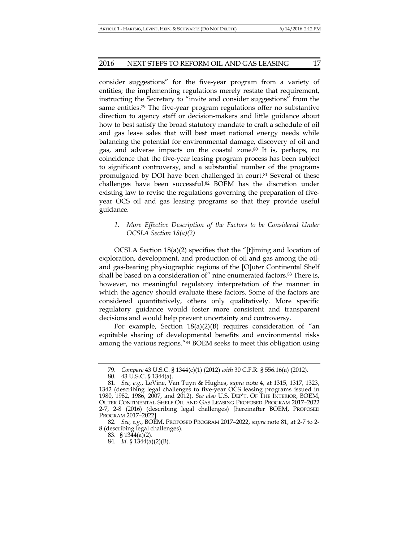consider suggestions" for the five-year program from a variety of entities; the implementing regulations merely restate that requirement, instructing the Secretary to "invite and consider suggestions" from the same entities.79 The five-year program regulations offer no substantive direction to agency staff or decision-makers and little guidance about how to best satisfy the broad statutory mandate to craft a schedule of oil and gas lease sales that will best meet national energy needs while balancing the potential for environmental damage, discovery of oil and gas, and adverse impacts on the coastal zone.80 It is, perhaps, no coincidence that the five-year leasing program process has been subject to significant controversy, and a substantial number of the programs promulgated by DOI have been challenged in court.81 Several of these challenges have been successful.82 BOEM has the discretion under existing law to revise the regulations governing the preparation of fiveyear OCS oil and gas leasing programs so that they provide useful guidance.

*1. More Effective Description of the Factors to be Considered Under OCSLA Section 18(a)(2)* 

OCSLA Section 18(a)(2) specifies that the "[t]iming and location of exploration, development, and production of oil and gas among the oiland gas-bearing physiographic regions of the [O]uter Continental Shelf shall be based on a consideration of" nine enumerated factors.83 There is, however, no meaningful regulatory interpretation of the manner in which the agency should evaluate these factors. Some of the factors are considered quantitatively, others only qualitatively. More specific regulatory guidance would foster more consistent and transparent decisions and would help prevent uncertainty and controversy.

For example, Section 18(a)(2)(B) requires consideration of "an equitable sharing of developmental benefits and environmental risks among the various regions."84 BOEM seeks to meet this obligation using

 <sup>79.</sup> *Compare* 43 U.S.C. § 1344(c)(1) (2012) *with* 30 C.F.R. § 556.16(a) (2012).

 <sup>80. 43</sup> U.S.C. § 1344(a).

 <sup>81.</sup> *See, e.g.*, LeVine, Van Tuyn & Hughes, *supra* note 4, at 1315, 1317, 1323, 1342 (describing legal challenges to five-year OCS leasing programs issued in 1980, 1982, 1986, 2007, and 2012). *See also* U.S. DEP'T. OF THE INTERIOR, BOEM, OUTER CONTINENTAL SHELF OIL AND GAS LEASING PROPOSED PROGRAM 2017–2022 2-7, 2-8 (2016) (describing legal challenges) [hereinafter BOEM, PROPOSED PROGRAM 2017–2022].

 <sup>82.</sup> *See, e.g.*, BOEM, PROPOSED PROGRAM 2017–2022, *supra* note 81, at 2-7 to 2- 8 (describing legal challenges).

 <sup>83. § 1344(</sup>a)(2).

 <sup>84.</sup> *Id.* § 1344(a)(2)(B).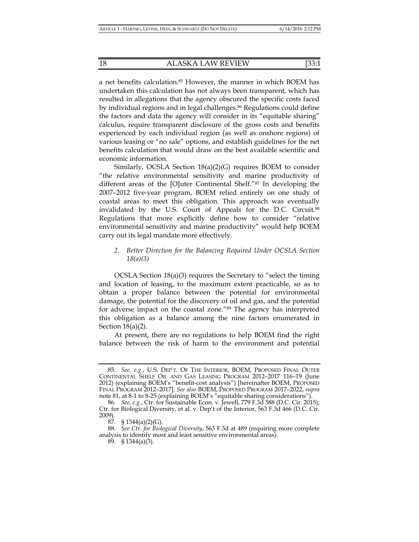a net benefits calculation.85 However, the manner in which BOEM has undertaken this calculation has not always been transparent, which has resulted in allegations that the agency obscured the specific costs faced by individual regions and in legal challenges.<sup>86</sup> Regulations could define the factors and data the agency will consider in its "equitable sharing" calculus, require transparent disclosure of the gross costs and benefits experienced by each individual region (as well as onshore regions) of various leasing or "no sale" options, and establish guidelines for the net benefits calculation that would draw on the best available scientific and economic information.

Similarly, OCSLA Section 18(a)(2)(G) requires BOEM to consider "the relative environmental sensitivity and marine productivity of different areas of the [O]uter Continental Shelf."87 In developing the 2007–2012 five-year program, BOEM relied entirely on one study of coastal areas to meet this obligation. This approach was eventually invalidated by the U.S. Court of Appeals for the D.C. Circuit.88 Regulations that more explicitly define how to consider "relative environmental sensitivity and marine productivity" would help BOEM carry out its legal mandate more effectively.

## *2. Better Direction for the Balancing Required Under OCSLA Section 18(a)(3)*

OCSLA Section 18(a)(3) requires the Secretary to "select the timing and location of leasing, to the maximum extent practicable, so as to obtain a proper balance between the potential for environmental damage, the potential for the discovery of oil and gas, and the potential for adverse impact on the coastal zone."89 The agency has interpreted this obligation as a balance among the nine factors enumerated in Section 18(a)(2).

At present, there are no regulations to help BOEM find the right balance between the risk of harm to the environment and potential

 <sup>85.</sup> *See, e.g.*, U.S. DEP'T. OF THE INTERIOR, BOEM, PROPOSED FINAL OUTER CONTINENTAL SHELF OIL AND GAS LEASING PROGRAM 2012–2017 116–19 (June 2012) (explaining BOEM's "benefit-cost analysis") [hereinafter BOEM, PROPOSED FINAL PROGRAM 2012–2017]. *See also* BOEM, PROPOSED PROGRAM 2017–2022, *supra*  note 81, at 8-1 to 8-25 (explaining BOEM's "equitable sharing considerations").

 <sup>86.</sup> *See, e.g.*, Ctr. for Sustainable Econ. v. Jewell, 779 F.3d 588 (D.C. Cir. 2015); Ctr. for Biological Diversity, et al. v. Dep't of the Interior, 563 F.3d 466 (D.C. Cir. 2009).

 <sup>87. § 1344(</sup>a)(2)(G).

 <sup>88.</sup> *See Ctr. for Biological Diversity*, 563 F.3d at 489 (requiring more complete analysis to identify most and least sensitive environmental areas).

 <sup>89. § 1344(</sup>a)(3).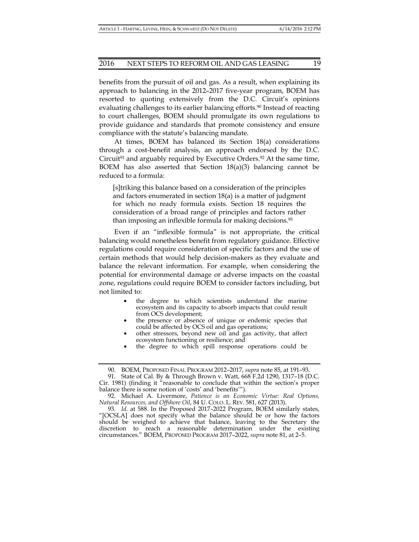benefits from the pursuit of oil and gas. As a result, when explaining its approach to balancing in the 2012–2017 five-year program, BOEM has resorted to quoting extensively from the D.C. Circuit's opinions evaluating challenges to its earlier balancing efforts.<sup>90</sup> Instead of reacting to court challenges, BOEM should promulgate its own regulations to provide guidance and standards that promote consistency and ensure compliance with the statute's balancing mandate.

At times, BOEM has balanced its Section 18(a) considerations through a cost-benefit analysis, an approach endorsed by the D.C. Circuit<sup>91</sup> and arguably required by Executive Orders.<sup>92</sup> At the same time, BOEM has also asserted that Section 18(a)(3) balancing cannot be reduced to a formula:

[s]triking this balance based on a consideration of the principles and factors enumerated in section 18(a) is a matter of judgment for which no ready formula exists. Section 18 requires the consideration of a broad range of principles and factors rather than imposing an inflexible formula for making decisions.93

Even if an "inflexible formula" is not appropriate, the critical balancing would nonetheless benefit from regulatory guidance. Effective regulations could require consideration of specific factors and the use of certain methods that would help decision-makers as they evaluate and balance the relevant information. For example, when considering the potential for environmental damage or adverse impacts on the coastal zone, regulations could require BOEM to consider factors including, but not limited to:

- the degree to which scientists understand the marine ecosystem and its capacity to absorb impacts that could result from OCS development;
- the presence or absence of unique or endemic species that could be affected by OCS oil and gas operations;
- other stressors, beyond new oil and gas activity, that affect ecosystem functioning or resilience; and
- the degree to which spill response operations could be

 <sup>90.</sup> BOEM, PROPOSED FINAL PROGRAM 2012–2017, *supra* note 85, at 191–93.

 <sup>91.</sup> State of Cal. By & Through Brown v. Watt, 668 F.2d 1290, 1317–18 (D.C. Cir. 1981) (finding it "reasonable to conclude that within the section's proper balance there is some notion of 'costs' and 'benefits'").

 <sup>92.</sup> Michael A. Livermore, *Patience is an Economic Virtue: Real Options, Natural Resources, and Offshore Oil*, 84 U. COLO. L. REV. 581, 627 (2013).

 <sup>93.</sup> *Id*. at 588. In the Proposed 2017–2022 Program, BOEM similarly states, "[OCSLA] does not specify what the balance should be or how the factors should be weighed to achieve that balance, leaving to the Secretary the discretion to reach a reasonable determination under the existing circumstances." BOEM, PROPOSED PROGRAM 2017–2022, *supra* note 81, at 2–5.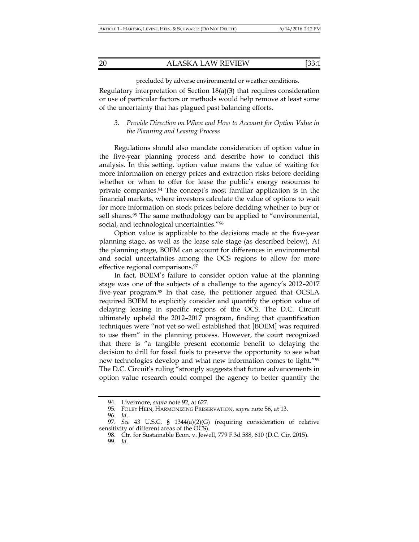## 20 ALASKA LAW REVIEW [33:1

precluded by adverse environmental or weather conditions.

Regulatory interpretation of Section 18(a)(3) that requires consideration or use of particular factors or methods would help remove at least some of the uncertainty that has plagued past balancing efforts.

## *3. Provide Direction on When and How to Account for Option Value in the Planning and Leasing Process*

Regulations should also mandate consideration of option value in the five-year planning process and describe how to conduct this analysis. In this setting, option value means the value of waiting for more information on energy prices and extraction risks before deciding whether or when to offer for lease the public's energy resources to private companies.94 The concept's most familiar application is in the financial markets, where investors calculate the value of options to wait for more information on stock prices before deciding whether to buy or sell shares.<sup>95</sup> The same methodology can be applied to "environmental, social, and technological uncertainties."96

Option value is applicable to the decisions made at the five-year planning stage, as well as the lease sale stage (as described below). At the planning stage, BOEM can account for differences in environmental and social uncertainties among the OCS regions to allow for more effective regional comparisons.97

In fact, BOEM's failure to consider option value at the planning stage was one of the subjects of a challenge to the agency's 2012–2017 five-year program.98 In that case, the petitioner argued that OCSLA required BOEM to explicitly consider and quantify the option value of delaying leasing in specific regions of the OCS. The D.C. Circuit ultimately upheld the 2012–2017 program, finding that quantification techniques were "not yet so well established that [BOEM] was required to use them" in the planning process. However, the court recognized that there is "a tangible present economic benefit to delaying the decision to drill for fossil fuels to preserve the opportunity to see what new technologies develop and what new information comes to light."99 The D.C. Circuit's ruling "strongly suggests that future advancements in option value research could compel the agency to better quantify the

 <sup>94.</sup> Livermore, *supra* note 92, at 627.

 <sup>95.</sup> FOLEY HEIN, HARMONIZING PRESERVATION, *supra* note 56, at 13.

 <sup>96.</sup> *Id*.

 <sup>97.</sup> *See* 43 U.S.C. § 1344(a)(2)(G) (requiring consideration of relative sensitivity of different areas of the OCS).

 <sup>98.</sup> Ctr. for Sustainable Econ. v. Jewell, 779 F.3d 588, 610 (D.C. Cir. 2015).

 <sup>99.</sup> *Id.*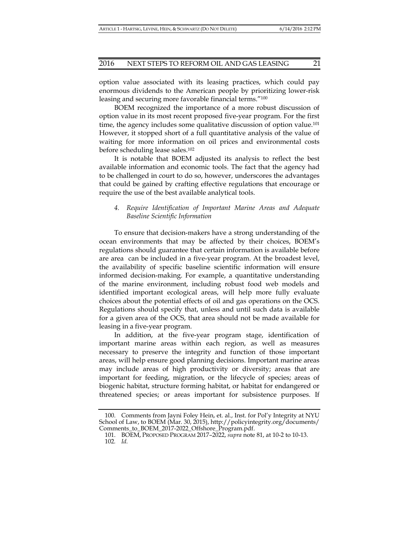option value associated with its leasing practices, which could pay enormous dividends to the American people by prioritizing lower-risk leasing and securing more favorable financial terms."100

BOEM recognized the importance of a more robust discussion of option value in its most recent proposed five-year program. For the first time, the agency includes some qualitative discussion of option value.<sup>101</sup> However, it stopped short of a full quantitative analysis of the value of waiting for more information on oil prices and environmental costs before scheduling lease sales.102

It is notable that BOEM adjusted its analysis to reflect the best available information and economic tools. The fact that the agency had to be challenged in court to do so, however, underscores the advantages that could be gained by crafting effective regulations that encourage or require the use of the best available analytical tools.

## *4. Require Identification of Important Marine Areas and Adequate Baseline Scientific Information*

To ensure that decision-makers have a strong understanding of the ocean environments that may be affected by their choices, BOEM's regulations should guarantee that certain information is available before are area can be included in a five-year program. At the broadest level, the availability of specific baseline scientific information will ensure informed decision-making. For example, a quantitative understanding of the marine environment, including robust food web models and identified important ecological areas, will help more fully evaluate choices about the potential effects of oil and gas operations on the OCS. Regulations should specify that, unless and until such data is available for a given area of the OCS, that area should not be made available for leasing in a five-year program.

In addition, at the five-year program stage, identification of important marine areas within each region, as well as measures necessary to preserve the integrity and function of those important areas, will help ensure good planning decisions. Important marine areas may include areas of high productivity or diversity; areas that are important for feeding, migration, or the lifecycle of species; areas of biogenic habitat, structure forming habitat, or habitat for endangered or threatened species; or areas important for subsistence purposes. If

 <sup>100.</sup> Comments from Jayni Foley Hein, et. al., Inst. for Pol'y Integrity at NYU School of Law, to BOEM (Mar. 30, 2015), http://policyintegrity.org/documents/ Comments\_to\_BOEM\_2017-2022\_Offshore\_Program.pdf.

 <sup>101.</sup> BOEM, PROPOSED PROGRAM 2017–2022, *supra* note 81, at 10-2 to 10-13. 102*. Id.*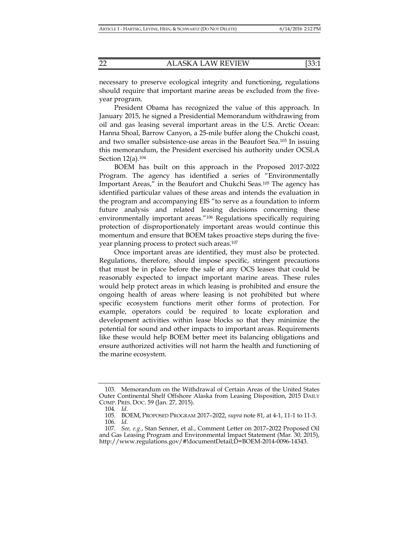necessary to preserve ecological integrity and functioning, regulations should require that important marine areas be excluded from the fiveyear program.

President Obama has recognized the value of this approach. In January 2015, he signed a Presidential Memorandum withdrawing from oil and gas leasing several important areas in the U.S. Arctic Ocean: Hanna Shoal, Barrow Canyon, a 25-mile buffer along the Chukchi coast, and two smaller subsistence-use areas in the Beaufort Sea.103 In issuing this memorandum, the President exercised his authority under OCSLA Section 12(a).104

BOEM has built on this approach in the Proposed 2017-2022 Program. The agency has identified a series of "Environmentally Important Areas," in the Beaufort and Chukchi Seas.105 The agency has identified particular values of these areas and intends the evaluation in the program and accompanying EIS "to serve as a foundation to inform future analysis and related leasing decisions concerning these environmentally important areas."106 Regulations specifically requiring protection of disproportionately important areas would continue this momentum and ensure that BOEM takes proactive steps during the fiveyear planning process to protect such areas.107

Once important areas are identified, they must also be protected. Regulations, therefore, should impose specific, stringent precautions that must be in place before the sale of any OCS leases that could be reasonably expected to impact important marine areas. These rules would help protect areas in which leasing is prohibited and ensure the ongoing health of areas where leasing is not prohibited but where specific ecosystem functions merit other forms of protection. For example, operators could be required to locate exploration and development activities within lease blocks so that they minimize the potential for sound and other impacts to important areas. Requirements like these would help BOEM better meet its balancing obligations and ensure authorized activities will not harm the health and functioning of the marine ecosystem.

 <sup>103.</sup> Memorandum on the Withdrawal of Certain Areas of the United States Outer Continental Shelf Offshore Alaska from Leasing Disposition, 2015 DAILY COMP. PRES. DOC. 59 (Jan. 27, 2015).

 <sup>104.</sup> *Id.*

 <sup>105.</sup> BOEM, PROPOSED PROGRAM 2017–2022, *supra* note 81, at 4-1, 11-1 to 11-3.

 <sup>106.</sup> *Id.* 

 <sup>107.</sup> *See, e.g.*, Stan Senner, et al., Comment Letter on 2017–2022 Proposed Oil and Gas Leasing Program and Environmental Impact Statement (Mar. 30, 2015), http://www.regulations.gov/#!documentDetail;D=BOEM-2014-0096-14343.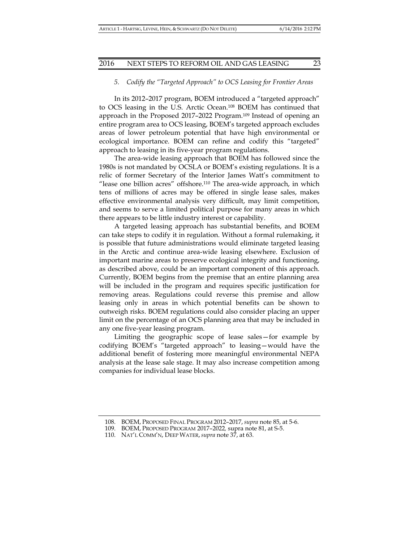#### *5. Codify the "Targeted Approach" to OCS Leasing for Frontier Areas*

In its 2012–2017 program, BOEM introduced a "targeted approach" to OCS leasing in the U.S. Arctic Ocean.108 BOEM has continued that approach in the Proposed 2017–2022 Program.109 Instead of opening an entire program area to OCS leasing, BOEM's targeted approach excludes areas of lower petroleum potential that have high environmental or ecological importance. BOEM can refine and codify this "targeted" approach to leasing in its five-year program regulations.

The area-wide leasing approach that BOEM has followed since the 1980s is not mandated by OCSLA or BOEM's existing regulations. It is a relic of former Secretary of the Interior James Watt's commitment to "lease one billion acres" offshore.110 The area-wide approach, in which tens of millions of acres may be offered in single lease sales, makes effective environmental analysis very difficult, may limit competition, and seems to serve a limited political purpose for many areas in which there appears to be little industry interest or capability.

A targeted leasing approach has substantial benefits, and BOEM can take steps to codify it in regulation. Without a formal rulemaking, it is possible that future administrations would eliminate targeted leasing in the Arctic and continue area-wide leasing elsewhere. Exclusion of important marine areas to preserve ecological integrity and functioning, as described above, could be an important component of this approach. Currently, BOEM begins from the premise that an entire planning area will be included in the program and requires specific justification for removing areas. Regulations could reverse this premise and allow leasing only in areas in which potential benefits can be shown to outweigh risks. BOEM regulations could also consider placing an upper limit on the percentage of an OCS planning area that may be included in any one five-year leasing program.

Limiting the geographic scope of lease sales—for example by codifying BOEM's "targeted approach" to leasing—would have the additional benefit of fostering more meaningful environmental NEPA analysis at the lease sale stage. It may also increase competition among companies for individual lease blocks.

 <sup>108.</sup> BOEM, PROPOSED FINAL PROGRAM 2012–2017, *supra* note 85, at 5-6.

 <sup>109.</sup> BOEM, PROPOSED PROGRAM 2017–2022*,* supra note 81, at S-5.

 <sup>110.</sup> NAT'L COMM'N, DEEP WATER, *supra* note 37, at 63.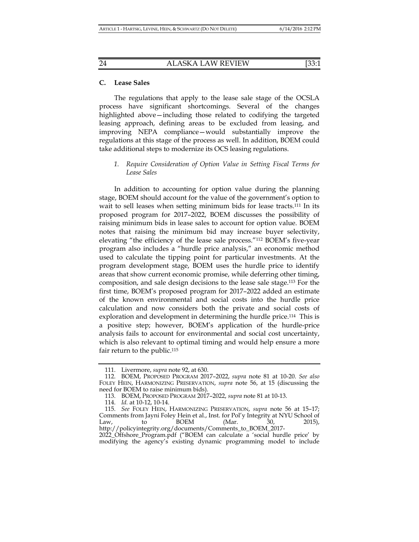#### **C. Lease Sales**

The regulations that apply to the lease sale stage of the OCSLA process have significant shortcomings. Several of the changes highlighted above—including those related to codifying the targeted leasing approach, defining areas to be excluded from leasing, and improving NEPA compliance—would substantially improve the regulations at this stage of the process as well. In addition, BOEM could take additional steps to modernize its OCS leasing regulations.

*1. Require Consideration of Option Value in Setting Fiscal Terms for Lease Sales* 

In addition to accounting for option value during the planning stage, BOEM should account for the value of the government's option to wait to sell leases when setting minimum bids for lease tracts.<sup>111</sup> In its proposed program for 2017–2022, BOEM discusses the possibility of raising minimum bids in lease sales to account for option value. BOEM notes that raising the minimum bid may increase buyer selectivity, elevating "the efficiency of the lease sale process."112 BOEM's five-year program also includes a "hurdle price analysis," an economic method used to calculate the tipping point for particular investments. At the program development stage, BOEM uses the hurdle price to identify areas that show current economic promise, while deferring other timing, composition, and sale design decisions to the lease sale stage.113 For the first time, BOEM's proposed program for 2017–2022 added an estimate of the known environmental and social costs into the hurdle price calculation and now considers both the private and social costs of exploration and development in determining the hurdle price.114 This is a positive step; however, BOEM's application of the hurdle-price analysis fails to account for environmental and social cost uncertainty, which is also relevant to optimal timing and would help ensure a more fair return to the public.<sup>115</sup>

 <sup>111.</sup> Livermore, *supra* note 92, at 630.

 <sup>112.</sup> BOEM, PROPOSED PROGRAM 2017–2022, *supra* note 81 at 10-20. *See also*  FOLEY HEIN, HARMONIZING PRESERVATION, *supra* note 56, at 15 (discussing the need for BOEM to raise minimum bids).

 <sup>113.</sup> BOEM, PROPOSED PROGRAM 2017–2022, *supra* note 81 at 10-13.

 <sup>114.</sup> *Id.* at 10-12, 10-14.

 <sup>115.</sup> *See* FOLEY HEIN, HARMONIZING PRESERVATION, *supra* note 56 at 15–17; Comments from Jayni Foley Hein et al., Inst. for Pol'y Integrity at NYU School of Law, to BOEM (Mar. 30, 2015), http://policyintegrity.org/documents/Comments\_to\_BOEM\_2017-

<sup>2022</sup>\_Offshore\_Program.pdf ("BOEM can calculate a 'social hurdle price' by modifying the agency's existing dynamic programming model to include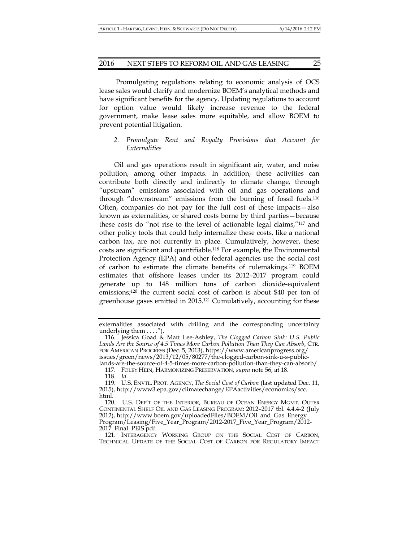Promulgating regulations relating to economic analysis of OCS lease sales would clarify and modernize BOEM's analytical methods and have significant benefits for the agency. Updating regulations to account for option value would likely increase revenue to the federal government, make lease sales more equitable, and allow BOEM to prevent potential litigation.

## *2. Promulgate Rent and Royalty Provisions that Account for Externalities*

Oil and gas operations result in significant air, water, and noise pollution, among other impacts. In addition, these activities can contribute both directly and indirectly to climate change, through "upstream" emissions associated with oil and gas operations and through "downstream" emissions from the burning of fossil fuels.116 Often, companies do not pay for the full cost of these impacts—also known as externalities, or shared costs borne by third parties—because these costs do "not rise to the level of actionable legal claims,"117 and other policy tools that could help internalize these costs, like a national carbon tax, are not currently in place. Cumulatively, however, these costs are significant and quantifiable.118 For example, the Environmental Protection Agency (EPA) and other federal agencies use the social cost of carbon to estimate the climate benefits of rulemakings.119 BOEM estimates that offshore leases under its 2012–2017 program could generate up to 148 million tons of carbon dioxide-equivalent emissions;120 the current social cost of carbon is about \$40 per ton of greenhouse gases emitted in 2015.121 Cumulatively, accounting for these

 117. FOLEY HEIN, HARMONIZING PRESERVATION, *supra* note 56, at 18. 118. *Id.*

externalities associated with drilling and the corresponding uncertainty underlying them . . . .").

 <sup>116.</sup> Jessica Goad & Matt Lee-Ashley, *The Clogged Carbon Sink: U.S. Public Lands Are the Source of 4.5 Times More Carbon Pollution Than They Can Absorb*, CTR. FOR AMERICAN PROGRESS (Dec. 5, 2013), https://www.americanprogress.org/ issues/green/news/2013/12/05/80277/the-clogged-carbon-sink-u-s-publiclands-are-the-source-of-4-5-times-more-carbon-pollution-than-they-can-absorb/.

 <sup>119.</sup> U.S. ENVTL. PROT. AGENCY, *The Social Cost of Carbon* (last updated Dec. 11, 2015), http://www3.epa.gov/climatechange/EPAactivities/economics/scc. html.

 <sup>120.</sup> U.S. DEP'T OF THE INTERIOR, BUREAU OF OCEAN ENERGY MGMT. OUTER CONTINENTAL SHELF OIL AND GAS LEASING PROGRAM: 2012–2017 tbl. 4.4.4-2 (July 2012), http://www.boem.gov/uploadedFiles/BOEM/Oil\_and\_Gas\_Energy\_ Program/Leasing/Five\_Year\_Program/2012-2017\_Five\_Year\_Program/2012- 2017\_Final\_PEIS.pdf.

 <sup>121.</sup> INTERAGENCY WORKING GROUP ON THE SOCIAL COST OF CARBON, TECHNICAL UPDATE OF THE SOCIAL COST OF CARBON FOR REGULATORY IMPACT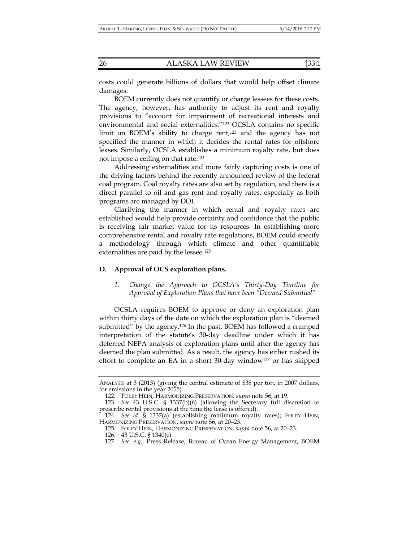costs could generate billions of dollars that would help offset climate damages.

BOEM currently does not quantify or charge lessees for these costs. The agency, however, has authority to adjust its rent and royalty provisions to "account for impairment of recreational interests and environmental and social externalities."122 OCSLA contains no specific limit on BOEM's ability to charge rent,<sup>123</sup> and the agency has not specified the manner in which it decides the rental rates for offshore leases. Similarly, OCSLA establishes a minimum royalty rate, but does not impose a ceiling on that rate.124

Addressing externalities and more fairly capturing costs is one of the driving factors behind the recently announced review of the federal coal program. Coal royalty rates are also set by regulation, and there is a direct parallel to oil and gas rent and royalty rates, especially as both programs are managed by DOI.

Clarifying the manner in which rental and royalty rates are established would help provide certainty and confidence that the public is receiving fair market value for its resources. In establishing more comprehensive rental and royalty rate regulations, BOEM could specify a methodology through which climate and other quantifiable externalities are paid by the lessee.<sup>125</sup>

## **D. Approval of OCS exploration plans.**

*1. Change the Approach to OCSLA's Thirty-Day Timeline for Approval of Exploration Plans that have been "Deemed Submitted"* 

OCSLA requires BOEM to approve or deny an exploration plan within thirty days of the date on which the exploration plan is "deemed submitted" by the agency.126 In the past, BOEM has followed a cramped interpretation of the statute's 30-day deadline under which it has deferred NEPA analysis of exploration plans until after the agency has deemed the plan submitted. As a result, the agency has either rushed its effort to complete an EA in a short 30-day window<sup>127</sup> or has skipped

ANALYSIS at 3 (2013) (giving the central estimate of \$38 per ton, in 2007 dollars, for emissions in the year 2015).

 <sup>122.</sup> FOLEY HEIN, HARMONIZING PRESERVATION, *supra* note 56, at 19.

 <sup>123.</sup> *See* 43 U.S.C. § 1337(b)(6) (allowing the Secretary full discretion to prescribe rental provisions at the time the lease is offered).

 <sup>124.</sup> *See id.* § 1337(a) (establishing minimum royalty rates); FOLEY HEIN, HARMONIZING PRESERVATION, *supra* note 56, at 20–23.

 <sup>125.</sup> FOLEY HEIN, HARMONIZING PRESERVATION, *supra* note 56, at 20–23.

 <sup>126. 43</sup> U.S.C. § 1340(c).

 <sup>127.</sup> *See, e.g.*, Press Release, Bureau of Ocean Energy Management, BOEM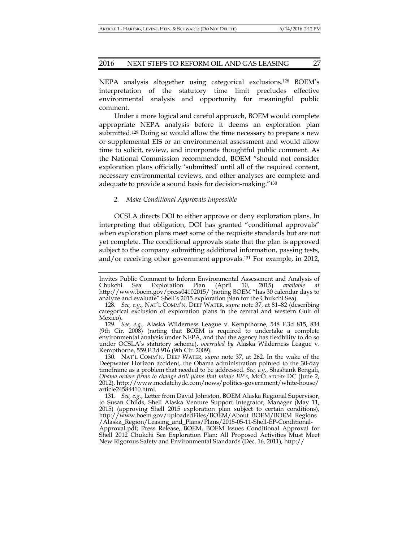NEPA analysis altogether using categorical exclusions.128 BOEM's interpretation of the statutory time limit precludes effective environmental analysis and opportunity for meaningful public comment.

Under a more logical and careful approach, BOEM would complete appropriate NEPA analysis before it deems an exploration plan submitted.129 Doing so would allow the time necessary to prepare a new or supplemental EIS or an environmental assessment and would allow time to solicit, review, and incorporate thoughtful public comment. As the National Commission recommended, BOEM "should not consider exploration plans officially 'submitted' until all of the required content, necessary environmental reviews, and other analyses are complete and adequate to provide a sound basis for decision-making."130

#### *2. Make Conditional Approvals Impossible*

OCSLA directs DOI to either approve or deny exploration plans. In interpreting that obligation, DOI has granted "conditional approvals" when exploration plans meet some of the requisite standards but are not yet complete. The conditional approvals state that the plan is approved subject to the company submitting additional information, passing tests, and/or receiving other government approvals.131 For example, in 2012,

Invites Public Comment to Inform Environmental Assessment and Analysis of Chukchi Sea Exploration Plan (April 10, 2015) *available at* Chukchi Sea Exploration Plan (April 10, 2015) *available at* http://www.boem.gov/press04102015/ (noting BOEM "has 30 calendar days to analyze and evaluate" Shell's 2015 exploration plan for the Chukchi Sea).

<sup>128</sup>*. See, e.g.*, NAT'L COMM'N, DEEP WATER, *supra* note 37, at 81–82 (describing categorical exclusion of exploration plans in the central and western Gulf of Mexico).

 <sup>129.</sup> *See, e.g.*, Alaska Wilderness League v. Kempthorne, 548 F.3d 815, 834 (9th Cir. 2008) (noting that BOEM is required to undertake a complete environmental analysis under NEPA, and that the agency has flexibility to do so under OCSLA's statutory scheme), *overruled by* Alaska Wilderness League v. Kempthorne, 559 F.3d 916 (9th Cir. 2009).

 <sup>130.</sup> NAT'L COMM'N, DEEP WATER, *supra* note 37, at 262. In the wake of the Deepwater Horizon accident, the Obama administration pointed to the 30-day timeframe as a problem that needed to be addressed. *See, e.g.*, Shashank Bengali, *Obama orders firms to change drill plans that mimic BP's*, MCCLATCHY DC (June 2, 2012), http://www.mcclatchydc.com/news/politics-government/white-house/ article24584410.html*.* 

 <sup>131.</sup> *See, e.g.*, Letter from David Johnston, BOEM Alaska Regional Supervisor, to Susan Childs, Shell Alaska Venture Support Integrator, Manager (May 11, 2015) (approving Shell 2015 exploration plan subject to certain conditions), http://www.boem.gov/uploadedFiles/BOEM/About\_BOEM/BOEM\_Regions /Alaska\_Region/Leasing\_and\_Plans/Plans/2015-05-11-Shell-EP-Conditional-Approval.pdf; Press Release, BOEM, BOEM Issues Conditional Approval for Shell 2012 Chukchi Sea Exploration Plan: All Proposed Activities Must Meet New Rigorous Safety and Environmental Standards (Dec. 16, 2011), http://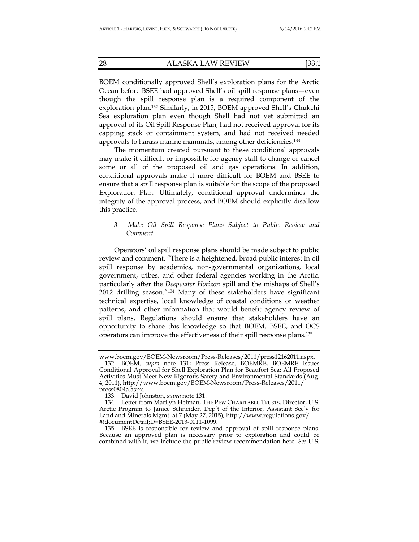BOEM conditionally approved Shell's exploration plans for the Arctic Ocean before BSEE had approved Shell's oil spill response plans—even though the spill response plan is a required component of the exploration plan.132 Similarly, in 2015, BOEM approved Shell's Chukchi Sea exploration plan even though Shell had not yet submitted an approval of its Oil Spill Response Plan, had not received approval for its capping stack or containment system, and had not received needed approvals to harass marine mammals, among other deficiencies.133

The momentum created pursuant to these conditional approvals may make it difficult or impossible for agency staff to change or cancel some or all of the proposed oil and gas operations. In addition, conditional approvals make it more difficult for BOEM and BSEE to ensure that a spill response plan is suitable for the scope of the proposed Exploration Plan. Ultimately, conditional approval undermines the integrity of the approval process, and BOEM should explicitly disallow this practice.

## *3. Make Oil Spill Response Plans Subject to Public Review and Comment*

Operators' oil spill response plans should be made subject to public review and comment. "There is a heightened, broad public interest in oil spill response by academics, non-governmental organizations, local government, tribes, and other federal agencies working in the Arctic, particularly after the *Deepwater Horizon* spill and the mishaps of Shell's 2012 drilling season."134 Many of these stakeholders have significant technical expertise, local knowledge of coastal conditions or weather patterns, and other information that would benefit agency review of spill plans. Regulations should ensure that stakeholders have an opportunity to share this knowledge so that BOEM, BSEE, and OCS operators can improve the effectiveness of their spill response plans.135

www.boem.gov/BOEM-Newsroom/Press-Releases/2011/press12162011.aspx.

 <sup>132.</sup> BOEM, *supra* note 131; Press Release, BOEMRE, BOEMRE Issues Conditional Approval for Shell Exploration Plan for Beaufort Sea: All Proposed Activities Must Meet New Rigorous Safety and Environmental Standards (Aug. 4, 2011), http://www.boem.gov/BOEM-Newsroom/Press-Releases/2011/ press0804a.aspx.

 <sup>133.</sup> David Johnston, *supra* note 131.

 <sup>134.</sup> Letter from Marilyn Heiman, THE PEW CHARITABLE TRUSTS, Director, U.S. Arctic Program to Janice Schneider, Dep't of the Interior, Assistant Sec'y for Land and Minerals Mgmt. at 7 (May 27, 2015), http://www.regulations.gov/ #!documentDetail;D=BSEE-2013-0011-1099.

 <sup>135.</sup> BSEE is responsible for review and approval of spill response plans. Because an approved plan is necessary prior to exploration and could be combined with it, we include the public review recommendation here. *See* U.S.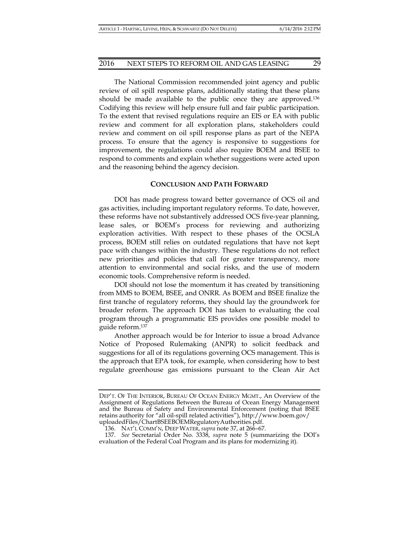The National Commission recommended joint agency and public review of oil spill response plans, additionally stating that these plans should be made available to the public once they are approved.<sup>136</sup> Codifying this review will help ensure full and fair public participation. To the extent that revised regulations require an EIS or EA with public review and comment for all exploration plans, stakeholders could review and comment on oil spill response plans as part of the NEPA process. To ensure that the agency is responsive to suggestions for improvement, the regulations could also require BOEM and BSEE to respond to comments and explain whether suggestions were acted upon and the reasoning behind the agency decision.

#### **CONCLUSION AND PATH FORWARD**

DOI has made progress toward better governance of OCS oil and gas activities, including important regulatory reforms. To date, however, these reforms have not substantively addressed OCS five-year planning, lease sales, or BOEM's process for reviewing and authorizing exploration activities. With respect to these phases of the OCSLA process, BOEM still relies on outdated regulations that have not kept pace with changes within the industry. These regulations do not reflect new priorities and policies that call for greater transparency, more attention to environmental and social risks, and the use of modern economic tools. Comprehensive reform is needed.

DOI should not lose the momentum it has created by transitioning from MMS to BOEM, BSEE, and ONRR. As BOEM and BSEE finalize the first tranche of regulatory reforms, they should lay the groundwork for broader reform. The approach DOI has taken to evaluating the coal program through a programmatic EIS provides one possible model to guide reform.137

Another approach would be for Interior to issue a broad Advance Notice of Proposed Rulemaking (ANPR) to solicit feedback and suggestions for all of its regulations governing OCS management. This is the approach that EPA took, for example, when considering how to best regulate greenhouse gas emissions pursuant to the Clean Air Act

DEP'T. OF THE INTERIOR, BUREAU OF OCEAN ENERGY MGMT., An Overview of the Assignment of Regulations Between the Bureau of Ocean Energy Management and the Bureau of Safety and Environmental Enforcement (noting that BSEE retains authority for "all oil-spill related activities"), http://www.boem.gov/ uploadedFiles/ChartBSEEBOEMRegulatoryAuthorities.pdf.

 <sup>136.</sup> NAT'L COMM'N, DEEP WATER, *supra* note 37, at 266–67.

 <sup>137.</sup> *See* Secretarial Order No. 3338, *supra* note 5 (summarizing the DOI's evaluation of the Federal Coal Program and its plans for modernizing it).